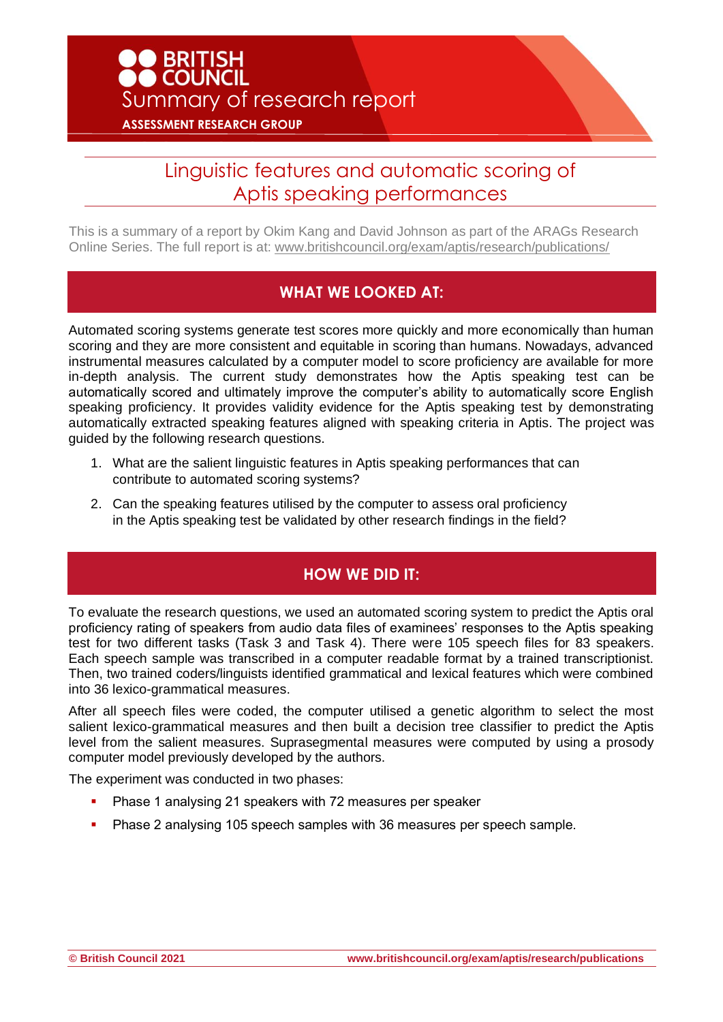# Linguistic features and automatic scoring of Aptis speaking performances

This is a summary of a report by Okim Kang and David Johnson as part of the ARAGs Research Online Series. The full report is at: [www.britishcouncil.org/exam/aptis/research/publications/](http://www.britishcouncil.org/exam/aptis/research/publications/)

#### **WHAT WE LOOKED AT:**

Automated scoring systems generate test scores more quickly and more economically than human scoring and they are more consistent and equitable in scoring than humans. Nowadays, advanced instrumental measures calculated by a computer model to score proficiency are available for more in-depth analysis. The current study demonstrates how the Aptis speaking test can be automatically scored and ultimately improve the computer's ability to automatically score English speaking proficiency. It provides validity evidence for the Aptis speaking test by demonstrating automatically extracted speaking features aligned with speaking criteria in Aptis. The project was guided by the following research questions.

- 1. What are the salient linguistic features in Aptis speaking performances that can contribute to automated scoring systems?
- 2. Can the speaking features utilised by the computer to assess oral proficiency in the Aptis speaking test be validated by other research findings in the field?

### **HOW WE DID IT:**

To evaluate the research questions, we used an automated scoring system to predict the Aptis oral proficiency rating of speakers from audio data files of examinees' responses to the Aptis speaking test for two different tasks (Task 3 and Task 4). There were 105 speech files for 83 speakers. Each speech sample was transcribed in a computer readable format by a trained transcriptionist. Then, two trained coders/linguists identified grammatical and lexical features which were combined into 36 lexico-grammatical measures.

After all speech files were coded, the computer utilised a genetic algorithm to select the most salient lexico-grammatical measures and then built a decision tree classifier to predict the Aptis level from the salient measures. Suprasegmental measures were computed by using a prosody computer model previously developed by the authors.

The experiment was conducted in two phases:

- Phase 1 analysing 21 speakers with 72 measures per speaker
- Phase 2 analysing 105 speech samples with 36 measures per speech sample.